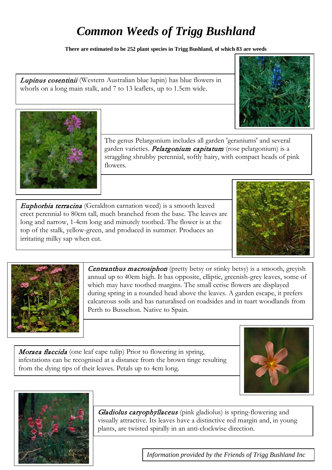## *Common Weeds of Trigg Bushland*

**There are estimated to be 252 plant species in Trigg Bushland, of which 83 are weeds** 

Lupinus cosentinii (Western Australian blue lupin) has blue flowers in whorls on a long main stalk, and 7 to 13 leaflets, up to 1.5cm wide.



Euphorbia terracina (Geraldton carnation weed) is a smooth leaved erect perennial to 80cm tall, much branched from the base. The leaves are long and narrow, 1-4cm long and minutely toothed. The flower is at the top of the stalk, yellow-green, and produced in summer. Produces an irritating milky sap when cut.

Centranthus macrosiphon (pretty betsy or stinky betsy) is a smooth, greyish annual up to 40cm high. It has opposite, elliptic, greenish-grey leaves, some of which may have toothed margins. The small cerise flowers are displayed during spring in a rounded head above the leaves. A garden escape, it prefers calcareous soils and has naturalised on roadsides and in tuart woodlands from

Moraea flaccida (one leaf cape tulip) Prior to flowering in spring, infestations can be recognised at a distance from the brown tinge resulting from the dying tips of their leaves. Petals up to 4cm long.



Perth to Busselton. Native to Spain.





Gladiolus caryophyllaceus (pink gladiolus) is spring-flowering and visually attractive. Its leaves have a distinctive red margin and, in young plants, are twisted spirally in an anti-clockwise direction.

*Information provided by the Friends of Trigg Bushland Inc*